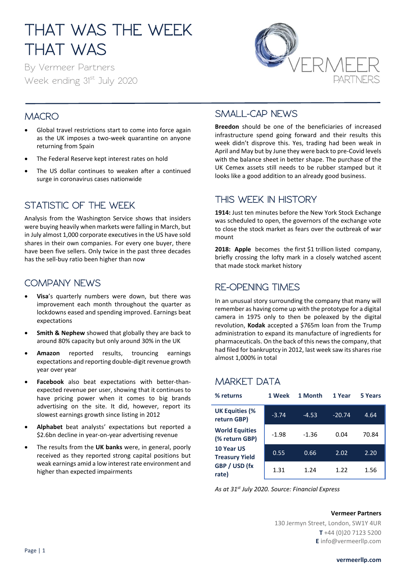# THAT WAS THE WEEK THAT WAS

By Vermeer Partners Week ending 31st July 2020



## **MACRO**

- Global travel restrictions start to come into force again as the UK imposes a two-week quarantine on anyone returning from Spain
- The Federal Reserve kept interest rates on hold
- The US dollar continues to weaken after a continued surge in coronavirus cases nationwide

# STATISTIC OF THE WEEK

Analysis from the Washington Service shows that insiders were buying heavily when markets were falling in March, but in July almost 1,000 corporate executives in the US have sold shares in their own companies. For every one buyer, there have been five sellers. Only twice in the past three decades has the sell-buy ratio been higher than now

### COMPANY NEWS

- **Visa**'s quarterly numbers were down, but there was improvement each month throughout the quarter as lockdowns eased and spending improved. Earnings beat expectations
- **Smith & Nephew** showed that globally they are back to around 80% capacity but only around 30% in the UK
- **Amazon** reported results, trouncing earnings expectations and reporting double-digit revenue growth year over year
- **Facebook** also beat expectations with better-thanexpected revenue per user, showing that it continues to have pricing power when it comes to big brands advertising on the site. It did, however, report its slowest earnings growth since listing in 2012
- **Alphabet** beat analysts' expectations but reported a \$2.6bn decline in year-on-year advertising revenue
- The results from the **UK banks** were, in general, poorly received as they reported strong capital positions but weak earnings amid a low interest rate environment and higher than expected impairments

#### SMALL-CAP NEWS

**Breedon** should be one of the beneficiaries of increased infrastructure spend going forward and their results this week didn't disprove this. Yes, trading had been weak in April and May but by June they were back to pre-Covid levels with the balance sheet in better shape. The purchase of the UK Cemex assets still needs to be rubber stamped but it looks like a good addition to an already good business.

### THIS WEEK IN HISTORY

**1914:** Just ten minutes before the New York Stock Exchange was scheduled to open, the governors of the exchange vote to close the stock market as fears over the outbreak of war mount

**2018: Apple** becomes the first \$1 trillion listed company, briefly crossing the lofty mark in a closely watched ascent that made stock market history

#### RE-OPENING TIMES

In an unusual story surrounding the company that many will remember as having come up with the prototype for a digital camera in 1975 only to then be poleaxed by the digital revolution, **Kodak** accepted a \$765m loan from the Trump administration to expand its manufacture of ingredients for pharmaceuticals. On the back of this news the company, that had filed for bankruptcy in 2012, last week saw its shares rise almost 1,000% in total

## MARKET DATA

| % returns                               | 1 Week  | 1 Month | 1 Year   | 5 Years |
|-----------------------------------------|---------|---------|----------|---------|
| <b>UK Equities (%</b><br>return GBP)    | $-3.74$ | $-4.53$ | $-20.74$ | 4.64    |
| <b>World Equities</b><br>(% return GBP) | $-1.98$ | $-1.36$ | 0.04     | 70.84   |
| 10 Year US<br><b>Treasury Yield</b>     | 0.55    | 0.66    | 2.02     | 2.20    |
| GBP / USD (fx<br>rate)                  | 1.31    | 1.24    | 1.22     | 1.56    |

*As at 31st July 2020. Source: Financial Express*

#### **Vermeer Partners**

130 Jermyn Street, London, SW1Y 4UR **T** +44 (0)20 7123 5200 **E** info@vermeerllp.com